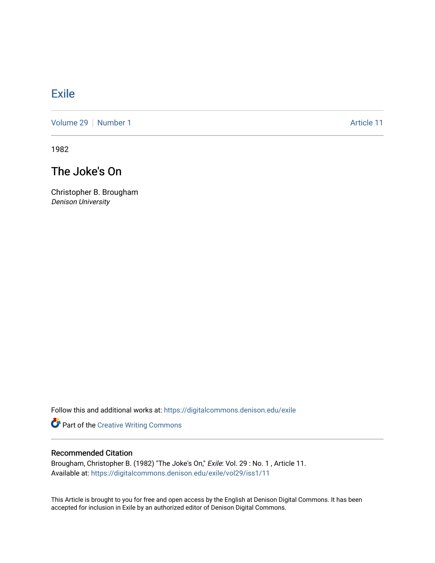# **[Exile](https://digitalcommons.denison.edu/exile)**

[Volume 29](https://digitalcommons.denison.edu/exile/vol29) | [Number 1](https://digitalcommons.denison.edu/exile/vol29/iss1) Article 11

1982

# The Joke's On

Christopher B. Brougham Denison University

Follow this and additional works at: [https://digitalcommons.denison.edu/exile](https://digitalcommons.denison.edu/exile?utm_source=digitalcommons.denison.edu%2Fexile%2Fvol29%2Fiss1%2F11&utm_medium=PDF&utm_campaign=PDFCoverPages) 

Part of the [Creative Writing Commons](http://network.bepress.com/hgg/discipline/574?utm_source=digitalcommons.denison.edu%2Fexile%2Fvol29%2Fiss1%2F11&utm_medium=PDF&utm_campaign=PDFCoverPages) 

#### Recommended Citation

Brougham, Christopher B. (1982) "The Joke's On," Exile: Vol. 29 : No. 1 , Article 11. Available at: [https://digitalcommons.denison.edu/exile/vol29/iss1/11](https://digitalcommons.denison.edu/exile/vol29/iss1/11?utm_source=digitalcommons.denison.edu%2Fexile%2Fvol29%2Fiss1%2F11&utm_medium=PDF&utm_campaign=PDFCoverPages)

This Article is brought to you for free and open access by the English at Denison Digital Commons. It has been accepted for inclusion in Exile by an authorized editor of Denison Digital Commons.